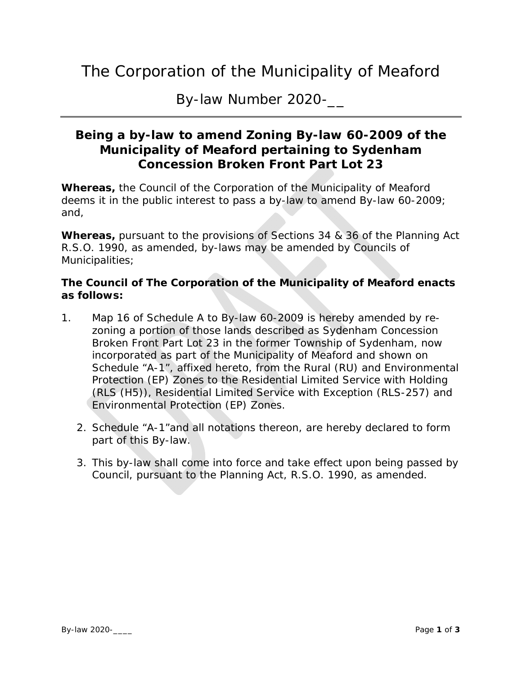## The Corporation of the Municipality of Meaford

By-law Number 2020-\_\_

## **Being a by-law to amend Zoning By-law 60-2009 of the Municipality of Meaford pertaining to Sydenham Concession Broken Front Part Lot 23**

**Whereas,** the Council of the Corporation of the Municipality of Meaford deems it in the public interest to pass a by-law to amend By-law 60-2009; and,

**Whereas,** pursuant to the provisions of Sections 34 & 36 of the Planning Act R.S.O. 1990, as amended, by-laws may be amended by Councils of Municipalities;

## **The Council of The Corporation of the Municipality of Meaford enacts as follows:**

- 1. Map 16 of Schedule A to By-law 60-2009 is hereby amended by rezoning a portion of those lands described as Sydenham Concession Broken Front Part Lot 23 in the former Township of Sydenham, now incorporated as part of the Municipality of Meaford and shown on Schedule "A-1", affixed hereto, from the Rural (RU) and Environmental Protection (EP) Zones to the Residential Limited Service with Holding (RLS (H5)), Residential Limited Service with Exception (RLS-257) and Environmental Protection (EP) Zones.
	- 2. Schedule "A-1"and all notations thereon, are hereby declared to form part of this By-law.
	- 3. This by-law shall come into force and take effect upon being passed by Council, pursuant to the Planning Act, R.S.O. 1990, as amended.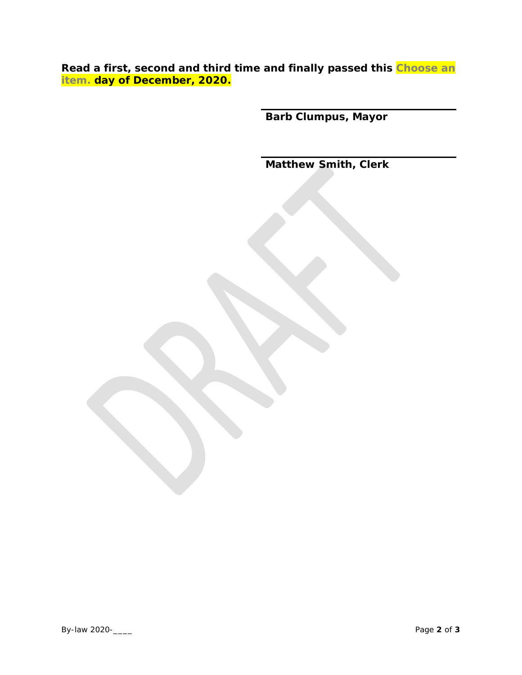**Read a first, second and third time and finally passed this Choose an item. day of December, 2020.** 

**Barb Clumpus, Mayor** 

**Matthew Smith, Clerk**